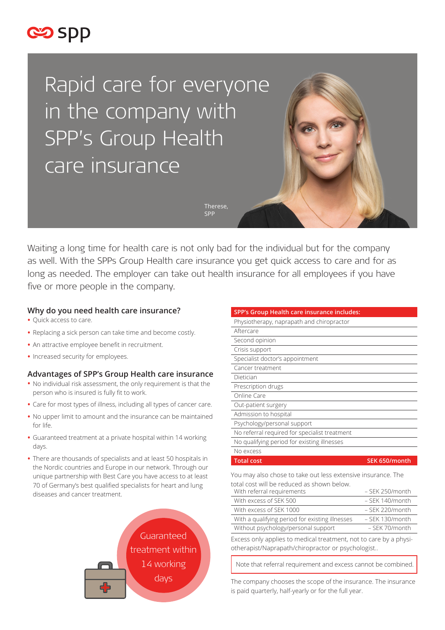

Rapid care for everyone in the company with SPP's Group Health care insurance

> Therese, SPP

Waiting a long time for health care is not only bad for the individual but for the company as well. With the SPPs Group Health care insurance you get quick access to care and for as long as needed. The employer can take out health insurance for all employees if you have five or more people in the company.

# **Why do you need health care insurance?**

- **•** Quick access to care.
- **•** Replacing a sick person can take time and become costly.
- **•** An attractive employee benefit in recruitment.
- **•** Increased security for employees.

# **Advantages of SPP's Group Health care insurance**

- **•** No individual risk assessment, the only requirement is that the person who is insured is fully fit to work.
- **•** Care for most types of illness, including all types of cancer care.
- **•** No upper limit to amount and the insurance can be maintained for life.
- **•** Guaranteed treatment at a private hospital within 14 working days.
- **•** There are thousands of specialists and at least 50 hospitals in the Nordic countries and Europe in our network. Through our unique partnership with Best Care you have access to at least 70 of Germany's best qualified specialists for heart and lung diseases and cancer treatment.



| SPP's Group Health care insurance includes:   |               |
|-----------------------------------------------|---------------|
| Physiotherapy, naprapath and chiropractor     |               |
| Aftercare                                     |               |
| Second opinion                                |               |
| Crisis support                                |               |
| Specialist doctor's appointment               |               |
| Cancer treatment                              |               |
| Dietician                                     |               |
| Prescription drugs                            |               |
| Online Care                                   |               |
| Out-patient surgery                           |               |
| Admission to hospital                         |               |
| Psychology/personal support                   |               |
| No referral required for specialist treatment |               |
| No qualifying period for existing illnesses   |               |
| No excess                                     |               |
| <b>Total cost</b>                             | SEK 650/month |

You may also chose to take out less extensive insurance. The total cost will be reduced as shown below.

| With referral requirements                      | $-$ SFK 250/month |
|-------------------------------------------------|-------------------|
| With excess of SEK 500                          | $-$ SFK 140/month |
| With excess of SEK 1000                         | $-$ SFK 220/month |
| With a qualifying period for existing illnesses | - SEK 130/month   |
| Without psychology/personal support             | - SEK 70/month    |

Excess only applies to medical treatment, not to care by a physiotherapist/Naprapath/chiropractor or psychologist..

Note that referral requirement and excess cannot be combined.

The company chooses the scope of the insurance. The insurance is paid quarterly, half-yearly or for the full year.